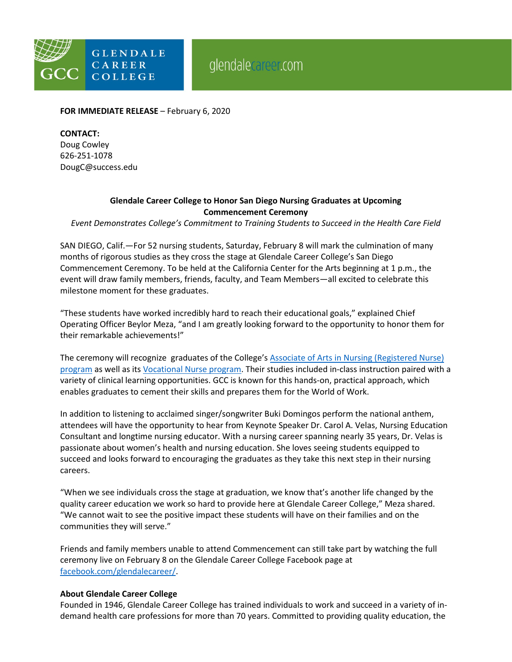

**FOR IMMEDIATE RELEASE** – February 6, 2020

## **CONTACT:**

Doug Cowley 626-251-1078 DougC@success.edu

## **Glendale Career College to Honor San Diego Nursing Graduates at Upcoming Commencement Ceremony**

*Event Demonstrates College's Commitment to Training Students to Succeed in the Health Care Field*

SAN DIEGO, Calif.—For 52 nursing students, Saturday, February 8 will mark the culmination of many months of rigorous studies as they cross the stage at Glendale Career College's San Diego Commencement Ceremony. To be held at the California Center for the Arts beginning at 1 p.m., the event will draw family members, friends, faculty, and Team Members—all excited to celebrate this milestone moment for these graduates.

"These students have worked incredibly hard to reach their educational goals," explained Chief Operating Officer Beylor Meza, "and I am greatly looking forward to the opportunity to honor them for their remarkable achievements!"

The ceremony will recognize graduates of the College's [Associate of Arts in Nursing \(Registered Nurse\)](https://www.glendalecareer.com/programs/associate-of-art-in-nursing-registered-nursing-program/)  [program](https://www.glendalecareer.com/programs/associate-of-art-in-nursing-registered-nursing-program/) as well as its [Vocational Nurse program.](https://www.glendalecareer.com/programs/vocational-nurse/) Their studies included in-class instruction paired with a variety of clinical learning opportunities. GCC is known for this hands-on, practical approach, which enables graduates to cement their skills and prepares them for the World of Work.

In addition to listening to acclaimed singer/songwriter Buki Domingos perform the national anthem, attendees will have the opportunity to hear from Keynote Speaker Dr. Carol A. Velas, Nursing Education Consultant and longtime nursing educator. With a nursing career spanning nearly 35 years, Dr. Velas is passionate about women's health and nursing education. She loves seeing students equipped to succeed and looks forward to encouraging the graduates as they take this next step in their nursing careers.

"When we see individuals cross the stage at graduation, we know that's another life changed by the quality career education we work so hard to provide here at Glendale Career College," Meza shared. "We cannot wait to see the positive impact these students will have on their families and on the communities they will serve."

Friends and family members unable to attend Commencement can still take part by watching the full ceremony live on February 8 on the Glendale Career College Facebook page at [facebook.com/glendalecareer/.](https://www.facebook.com/glendalecareer/)

## **About Glendale Career College**

Founded in 1946, Glendale Career College has trained individuals to work and succeed in a variety of indemand health care professions for more than 70 years. Committed to providing quality education, the